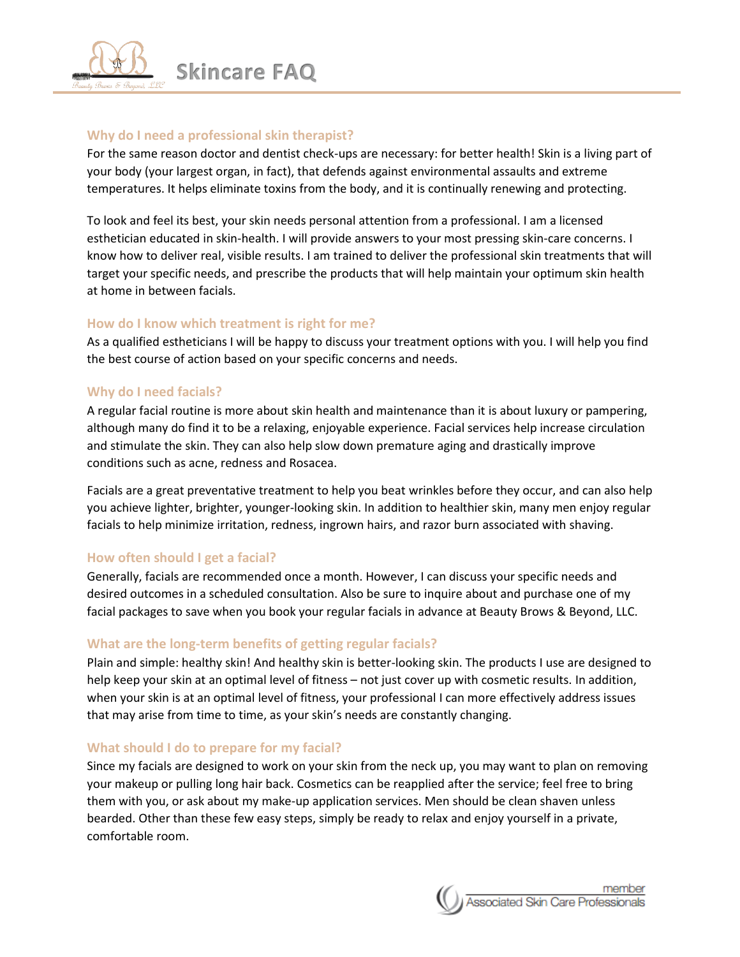

## **Why do I need a professional skin therapist?**

For the same reason doctor and dentist check-ups are necessary: for better health! Skin is a living part of your body (your largest organ, in fact), that defends against environmental assaults and extreme temperatures. It helps eliminate toxins from the body, and it is continually renewing and protecting.

To look and feel its best, your skin needs personal attention from a professional. I am a licensed esthetician educated in skin-health. I will provide answers to your most pressing skin-care concerns. I know how to deliver real, visible results. I am trained to deliver the professional skin treatments that will target your specific needs, and prescribe the products that will help maintain your optimum skin health at home in between facials.

# **How do I know which treatment is right for me?**

As a qualified estheticians I will be happy to discuss your treatment options with you. I will help you find the best course of action based on your specific concerns and needs.

# **Why do I need facials?**

A regular facial routine is more about skin health and maintenance than it is about luxury or pampering, although many do find it to be a relaxing, enjoyable experience. Facial services help increase circulation and stimulate the skin. They can also help slow down premature aging and drastically improve conditions such as acne, redness and Rosacea.

Facials are a great preventative treatment to help you beat wrinkles before they occur, and can also help you achieve lighter, brighter, younger-looking skin. In addition to healthier skin, many men enjoy regular facials to help minimize irritation, redness, ingrown hairs, and razor burn associated with shaving.

# **How often should I get a facial?**

Generally, facials are recommended once a month. However, I can discuss your specific needs and desired outcomes in a scheduled consultation. Also be sure to inquire about and purchase one of my facial packages to save when you book your regular facials in advance at Beauty Brows & Beyond, LLC.

# **What are the long-term benefits of getting regular facials?**

Plain and simple: healthy skin! And healthy skin is better-looking skin. The products I use are designed to help keep your skin at an optimal level of fitness – not just cover up with cosmetic results. In addition, when your skin is at an optimal level of fitness, your professional I can more effectively address issues that may arise from time to time, as your skin's needs are constantly changing.

## **What should I do to prepare for my facial?**

Since my facials are designed to work on your skin from the neck up, you may want to plan on removing your makeup or pulling long hair back. Cosmetics can be reapplied after the service; feel free to bring them with you, or ask about my make-up application services. Men should be clean shaven unless bearded. Other than these few easy steps, simply be ready to relax and enjoy yourself in a private, comfortable room.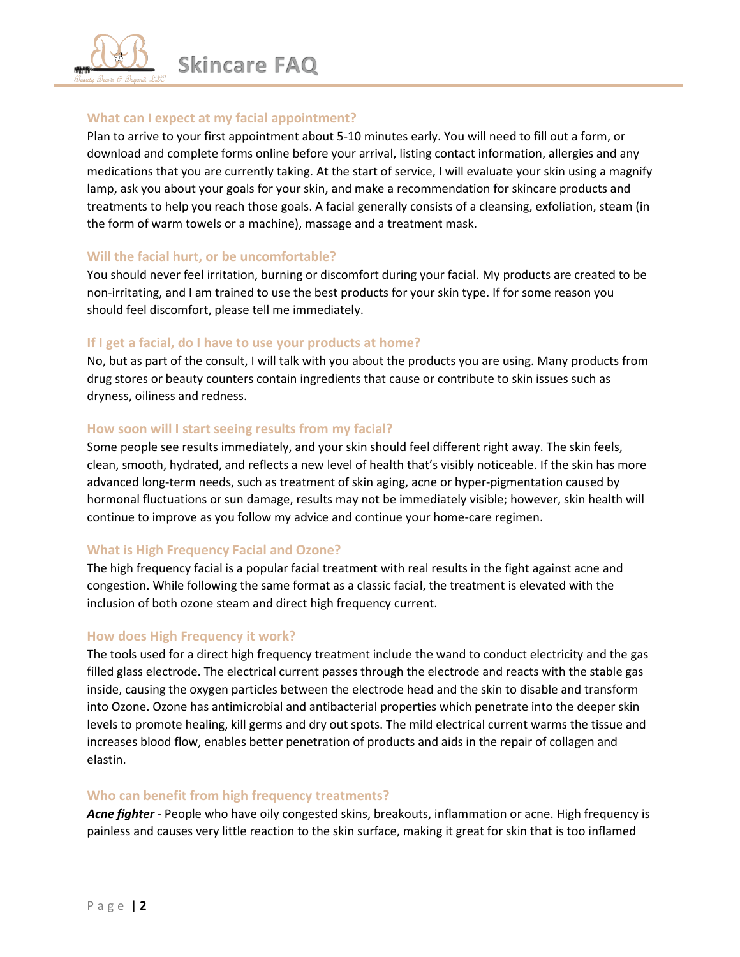

## **What can I expect at my facial appointment?**

Plan to arrive to your first appointment about 5-10 minutes early. You will need to fill out a form, or download and complete forms online before your arrival, listing contact information, allergies and any medications that you are currently taking. At the start of service, I will evaluate your skin using a magnify lamp, ask you about your goals for your skin, and make a recommendation for skincare products and treatments to help you reach those goals. A facial generally consists of a cleansing, exfoliation, steam (in the form of warm towels or a machine), massage and a treatment mask.

## **Will the facial hurt, or be uncomfortable?**

You should never feel irritation, burning or discomfort during your facial. My products are created to be non-irritating, and I am trained to use the best products for your skin type. If for some reason you should feel discomfort, please tell me immediately.

## **If I get a facial, do I have to use your products at home?**

No, but as part of the consult, I will talk with you about the products you are using. Many products from drug stores or beauty counters contain ingredients that cause or contribute to skin issues such as dryness, oiliness and redness.

## **How soon will I start seeing results from my facial?**

Some people see results immediately, and your skin should feel different right away. The skin feels, clean, smooth, hydrated, and reflects a new level of health that's visibly noticeable. If the skin has more advanced long-term needs, such as treatment of skin aging, acne or hyper-pigmentation caused by hormonal fluctuations or sun damage, results may not be immediately visible; however, skin health will continue to improve as you follow my advice and continue your home-care regimen.

## **What is High Frequency Facial and Ozone?**

The high frequency facial is a popular facial treatment with real results in the fight against acne and congestion. While following the same format as a classic facial, the treatment is elevated with the inclusion of both ozone steam and direct high frequency current.

## **How does High Frequency it work?**

The tools used for a direct high frequency treatment include the wand to conduct electricity and the gas filled glass electrode. The electrical current passes through the electrode and reacts with the stable gas inside, causing the oxygen particles between the electrode head and the skin to disable and transform into Ozone. Ozone has antimicrobial and antibacterial properties which penetrate into the deeper skin levels to promote healing, kill germs and dry out spots. The mild electrical current warms the tissue and increases blood flow, enables better penetration of products and aids in the repair of collagen and elastin.

## **Who can benefit from high frequency treatments?**

*Acne fighter* - People who have oily congested skins, breakouts, inflammation or acne. High frequency is painless and causes very little reaction to the skin surface, making it great for skin that is too inflamed